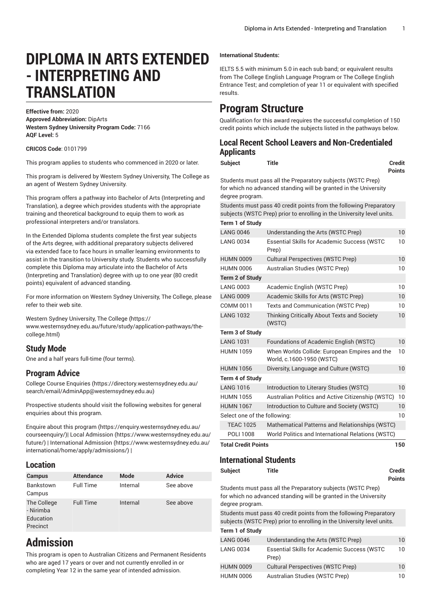# **DIPLOMA IN ARTS EXTENDED - INTERPRETING AND TRANSLATION**

**Effective from:** 2020 **Approved Abbreviation:** DipArts **Western Sydney University Program Code:** 7166 **AQF Level:** 5

**CRICOS Code**: 0101799

This program applies to students who commenced in 2020 or later.

This program is delivered by Western Sydney University, The College as an agent of Western Sydney University.

This program offers a pathway into Bachelor of Arts (Interpreting and Translation), a degree which provides students with the appropriate training and theoretical background to equip them to work as professional interpreters and/or translators.

In the Extended Diploma students complete the first year subjects of the Arts degree, with additional preparatory subjects delivered via extended face to face hours in smaller learning environments to assist in the transition to University study. Students who successfully complete this Diploma may articulate into the Bachelor of Arts (Interpreting and Translation) degree with up to one year (80 credit points) equivalent of advanced standing.

For more information on Western Sydney University, The College, please refer to their web site.

Western Sydney [University,](https://www.westernsydney.edu.au/future/study/application-pathways/the-college.html) The College [\(https://](https://www.westernsydney.edu.au/future/study/application-pathways/the-college.html) [www.westernsydney.edu.au/future/study/application-pathways/the](https://www.westernsydney.edu.au/future/study/application-pathways/the-college.html)[college.html](https://www.westernsydney.edu.au/future/study/application-pathways/the-college.html))

### **Study Mode**

One and a half years full-time (four terms).

### **Program Advice**

[College Course Enquiries](https://directory.westernsydney.edu.au/search/email/AdminApp@westernsydney.edu.au) ([https://directory.westernsydney.edu.au/](https://directory.westernsydney.edu.au/search/email/AdminApp@westernsydney.edu.au) [search/email/AdminApp@westernsydney.edu.au](https://directory.westernsydney.edu.au/search/email/AdminApp@westernsydney.edu.au))

Prospective students should visit the following websites for general enquiries about this program.

Enquire about this [program \(https://enquiry.westernsydney.edu.au/](https://enquiry.westernsydney.edu.au/courseenquiry/) [courseenquiry/](https://enquiry.westernsydney.edu.au/courseenquiry/))| [Local Admission \(https://www.westernsydney.edu.au/](https://www.westernsydney.edu.au/future/) [future/\)](https://www.westernsydney.edu.au/future/) | [International Admission](https://www.westernsydney.edu.au/international/home/apply/admissions/) ([https://www.westernsydney.edu.au/](https://www.westernsydney.edu.au/international/home/apply/admissions/) [international/home/apply/admissions/](https://www.westernsydney.edu.au/international/home/apply/admissions/)) |

#### **Location**

| <b>Campus</b>                                     | <b>Attendance</b> | Mode     | <b>Advice</b> |
|---------------------------------------------------|-------------------|----------|---------------|
| Bankstown<br>Campus                               | <b>Full Time</b>  | Internal | See above     |
| The College<br>- Nirimba<br>Education<br>Precinct | <b>Full Time</b>  | Internal | See above     |

## **Admission**

This program is open to Australian Citizens and Permanent Residents who are aged 17 years or over and not currently enrolled in or completing Year 12 in the same year of intended admission.

#### **International Students:**

IELTS 5.5 with minimum 5.0 in each sub band; or equivalent results from The College English Language Program or The College English Entrance Test; and completion of year 11 or equivalent with specified results.

## **Program Structure**

Qualification for this award requires the successful completion of 150 credit points which include the subjects listed in the pathways below.

## **Local Recent School Leavers and Non-Credentialed Applicants**

| <b>Subject</b> | <b>Title</b> | <b>Credit</b> |
|----------------|--------------|---------------|
|                |              |               |

**Points**

Students must pass all the Preparatory subjects (WSTC Prep) for which no advanced standing will be granted in the University degree program.

Students must pass 40 credit points from the following Preparatory subjects (WSTC Prep) prior to enrolling in the University level units.

| <b>Term 1 of Study</b>            |                                                                            |    |  |  |
|-----------------------------------|----------------------------------------------------------------------------|----|--|--|
| <b>LANG 0046</b>                  | Understanding the Arts (WSTC Prep)                                         | 10 |  |  |
| <b>LANG 0034</b>                  | <b>Essential Skills for Academic Success (WSTC</b><br>Prep)                | 10 |  |  |
| <b>HUMN 0009</b>                  | <b>Cultural Perspectives (WSTC Prep)</b>                                   | 10 |  |  |
| <b>HUMN 0006</b>                  | Australian Studies (WSTC Prep)                                             | 10 |  |  |
| <b>Term 2 of Study</b>            |                                                                            |    |  |  |
| <b>LANG 0003</b>                  | Academic English (WSTC Prep)                                               | 10 |  |  |
| <b>LANG 0009</b>                  | Academic Skills for Arts (WSTC Prep)                                       | 10 |  |  |
| COMM 0011                         | Texts and Communication (WSTC Prep)                                        | 10 |  |  |
| <b>LANG 1032</b>                  | Thinking Critically About Texts and Society<br>(WSTC)                      | 10 |  |  |
| Term 3 of Study                   |                                                                            |    |  |  |
| <b>LANG 1031</b>                  | Foundations of Academic English (WSTC)                                     | 10 |  |  |
| <b>HUMN 1059</b>                  | When Worlds Collide: European Empires and the<br>World, c.1600-1950 (WSTC) | 10 |  |  |
| <b>HUMN 1056</b>                  | Diversity, Language and Culture (WSTC)                                     | 10 |  |  |
| <b>Term 4 of Study</b>            |                                                                            |    |  |  |
| <b>LANG 1016</b>                  | Introduction to Literary Studies (WSTC)                                    | 10 |  |  |
| <b>HUMN 1055</b>                  | Australian Politics and Active Citizenship (WSTC)                          | 10 |  |  |
| <b>HUMN 1067</b>                  | Introduction to Culture and Society (WSTC)                                 | 10 |  |  |
| Select one of the following:      |                                                                            |    |  |  |
| <b>TEAC 1025</b>                  | Mathematical Patterns and Relationships (WSTC)                             |    |  |  |
| POLI 1008                         | World Politics and International Relations (WSTC)                          |    |  |  |
| <b>Total Credit Points</b><br>150 |                                                                            |    |  |  |

## **International Students**

| Subject          | <b>Title</b>                                                                                                                                 | <b>Credit</b><br><b>Points</b> |
|------------------|----------------------------------------------------------------------------------------------------------------------------------------------|--------------------------------|
| degree program.  | Students must pass all the Preparatory subjects (WSTC Prep)<br>for which no advanced standing will be granted in the University              |                                |
|                  | Students must pass 40 credit points from the following Preparatory<br>subjects (WSTC Prep) prior to enrolling in the University level units. |                                |
| Term 1 of Study  |                                                                                                                                              |                                |
| <b>LANG 0046</b> | Understanding the Arts (WSTC Prep)                                                                                                           | 10                             |
| <b>LANG 0034</b> | <b>Essential Skills for Academic Success (WSTC</b><br>Prep)                                                                                  | 10                             |
| <b>HUMN 0009</b> | <b>Cultural Perspectives (WSTC Prep)</b>                                                                                                     | 10                             |
| <b>HUMN 0006</b> | Australian Studies (WSTC Prep)                                                                                                               | 10                             |